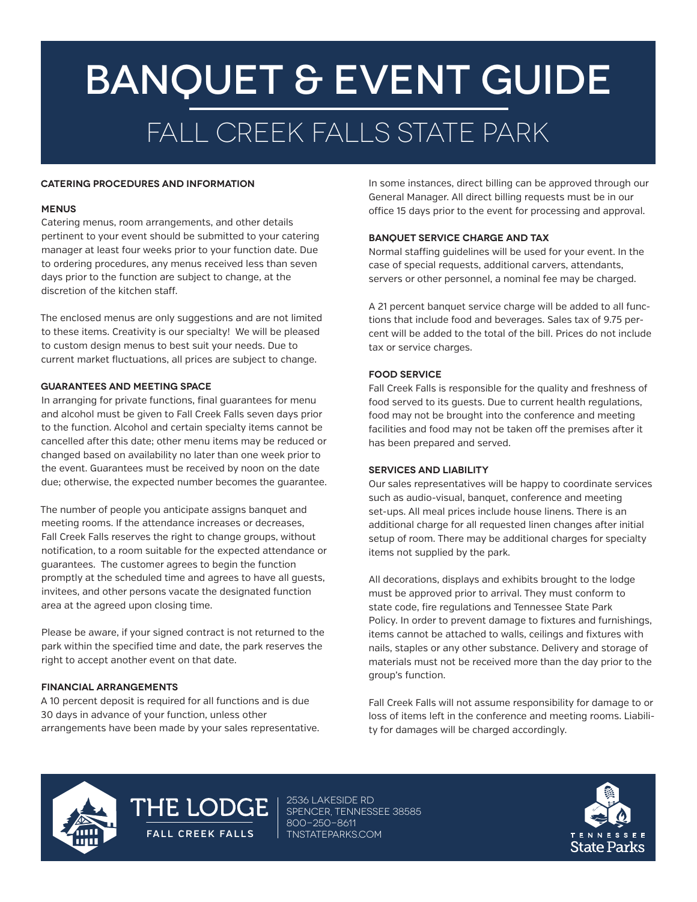# BANQUET & Event GUIDE fall creek falls STATE PARK

#### **CATERING PROCEDURES AND INFORMATION**

#### **MENUS**

Catering menus, room arrangements, and other details pertinent to your event should be submitted to your catering manager at least four weeks prior to your function date. Due to ordering procedures, any menus received less than seven days prior to the function are subject to change, at the discretion of the kitchen staff.

The enclosed menus are only suggestions and are not limited to these items. Creativity is our specialty! We will be pleased to custom design menus to best suit your needs. Due to current market fluctuations, all prices are subject to change.

#### **GUARANTEES AND MEETING SPACE**

In arranging for private functions, final guarantees for menu and alcohol must be given to Fall Creek Falls seven days prior to the function. Alcohol and certain specialty items cannot be cancelled after this date; other menu items may be reduced or changed based on availability no later than one week prior to the event. Guarantees must be received by noon on the date due; otherwise, the expected number becomes the guarantee.

The number of people you anticipate assigns banquet and meeting rooms. If the attendance increases or decreases, Fall Creek Falls reserves the right to change groups, without notification, to a room suitable for the expected attendance or guarantees. The customer agrees to begin the function promptly at the scheduled time and agrees to have all guests, invitees, and other persons vacate the designated function area at the agreed upon closing time.

Please be aware, if your signed contract is not returned to the park within the specified time and date, the park reserves the right to accept another event on that date.

#### **FINANCIAL ARRANGEMENTS**

A 10 percent deposit is required for all functions and is due 30 days in advance of your function, unless other arrangements have been made by your sales representative. In some instances, direct billing can be approved through our General Manager. All direct billing requests must be in our office 15 days prior to the event for processing and approval.

#### **banquet SERVICE CHARGE AND TAX**

Normal staffing guidelines will be used for your event. In the case of special requests, additional carvers, attendants, servers or other personnel, a nominal fee may be charged.

A 21 percent banquet service charge will be added to all functions that include food and beverages. Sales tax of 9.75 percent will be added to the total of the bill. Prices do not include tax or service charges.

#### **FOOD SERVICE**

Fall Creek Falls is responsible for the quality and freshness of food served to its guests. Due to current health regulations, food may not be brought into the conference and meeting facilities and food may not be taken off the premises after it has been prepared and served.

#### **SERVICES AND LIABILITY**

Our sales representatives will be happy to coordinate services such as audio-visual, banquet, conference and meeting set-ups. All meal prices include house linens. There is an additional charge for all requested linen changes after initial setup of room. There may be additional charges for specialty items not supplied by the park.

All decorations, displays and exhibits brought to the lodge must be approved prior to arrival. They must conform to state code, fire regulations and Tennessee State Park Policy. In order to prevent damage to fixtures and furnishings, items cannot be attached to walls, ceilings and fixtures with nails, staples or any other substance. Delivery and storage of materials must not be received more than the day prior to the group's function.

Fall Creek Falls will not assume responsibility for damage to or loss of items left in the conference and meeting rooms. Liability for damages will be charged accordingly.



# THE LODGE

2536 Lakeside Rd spencer, TENNESSEE 38585 800-250-8611 **FALL CREEK FALLS** TNSTATEPARKS.COM

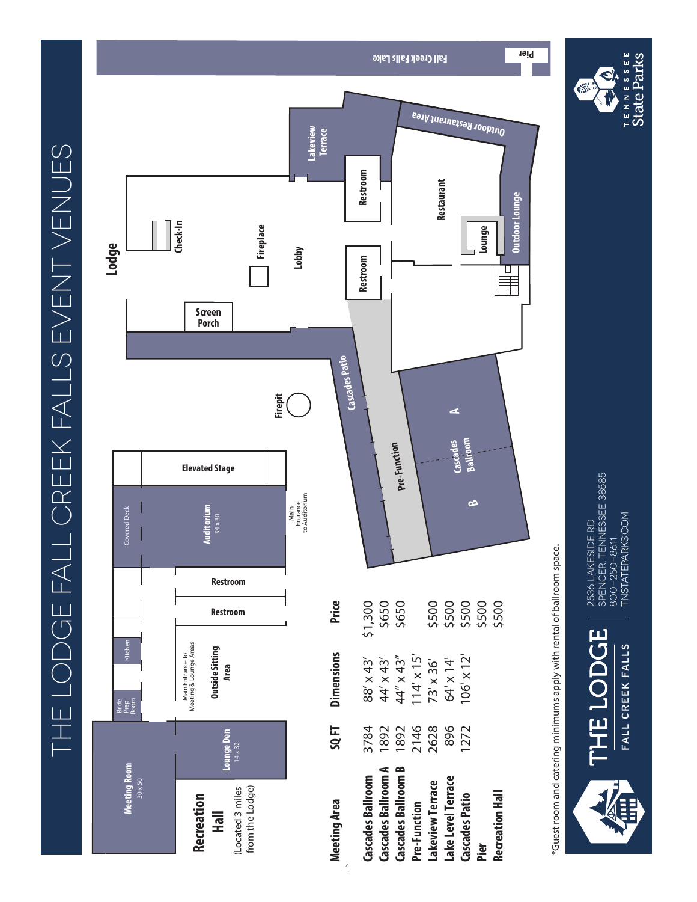THE LODGE FALL CREEK FALLS EVENT VENUES THE LODGE FALL CREEK FALLS EVENT VENUES



1

\*Guest room and catering minimums apply with rental of ballroom space. \*Guest room and catering minimums apply with rental of ballroom space.



2536 LAKESIDE RD<br>SPENCER, TENNESSEE 38585<br>800–250–8611<br>TNSTATEPARKS.COM spencer, TENNESSEE 38585 TNSTATEPARKS.COM 2536 Lakeside Rd 800-250-8611





**Outdoor Lounge**

Outdoor Lounge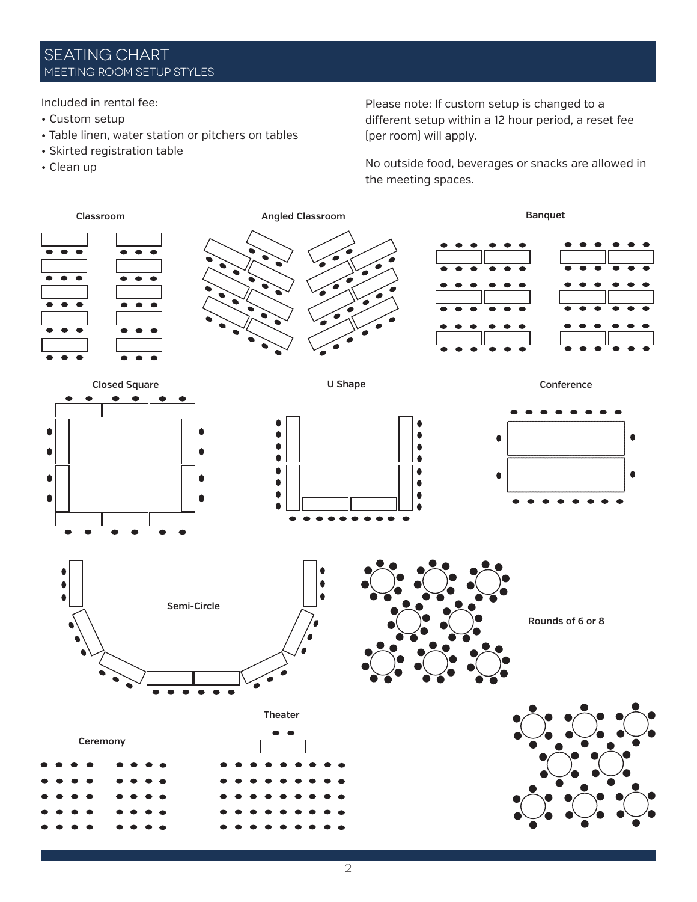# SEATING CHART MEETING ROOM SETUP STYLES

Included in rental fee:

- Custom setup
- Table linen, water station or pitchers on tables
- Skirted registration table
- Clean up

Please note: If custom setup is changed to a different setup within a 12 hour period, a reset fee (per room) will apply.

No outside food, beverages or snacks are allowed in the meeting spaces.

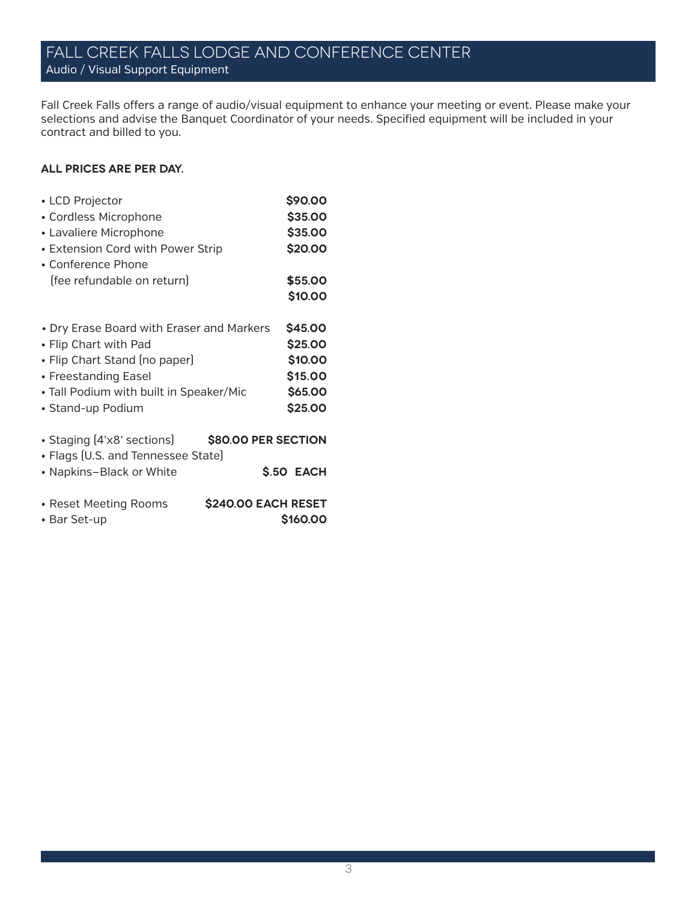# Fall Creek Falls lodge and conference center Audio / Visual Support Equipment

Fall Creek Falls offers a range of audio/visual equipment to enhance your meeting or event. Please make your selections and advise the Banquet Coordinator of your needs. Specified equipment will be included in your contract and billed to you.

#### **All prices are per day.**

| • LCD Projector                                     | \$90.00        |
|-----------------------------------------------------|----------------|
| • Cordless Microphone                               | \$35.00        |
| • Lavaliere Microphone                              | \$35.00        |
| • Extension Cord with Power Strip                   | \$20.00        |
| • Conference Phone                                  |                |
| (fee refundable on return)                          | \$55.00        |
|                                                     | \$10.00        |
|                                                     |                |
| • Dry Erase Board with Eraser and Markers           | \$45.00        |
| • Flip Chart with Pad                               | \$25.00        |
| • Flip Chart Stand (no paper)                       | \$10.00        |
| • Freestanding Easel                                | \$15.00        |
| • Tall Podium with built in Speaker/Mic             | \$65.00        |
| • Stand-up Podium                                   | \$25.00        |
|                                                     |                |
| • Staging [4'x8' sections]<br>\$80.00 PER SECTION   |                |
| • Flags (U.S. and Tennessee State)                  |                |
| • Napkins-Black or White                            | \$.50 EACH     |
|                                                     |                |
| • Reset Meeting Rooms<br><b>\$240.00 EACH RESET</b> |                |
| • Bar Set-up                                        | <b>S160.00</b> |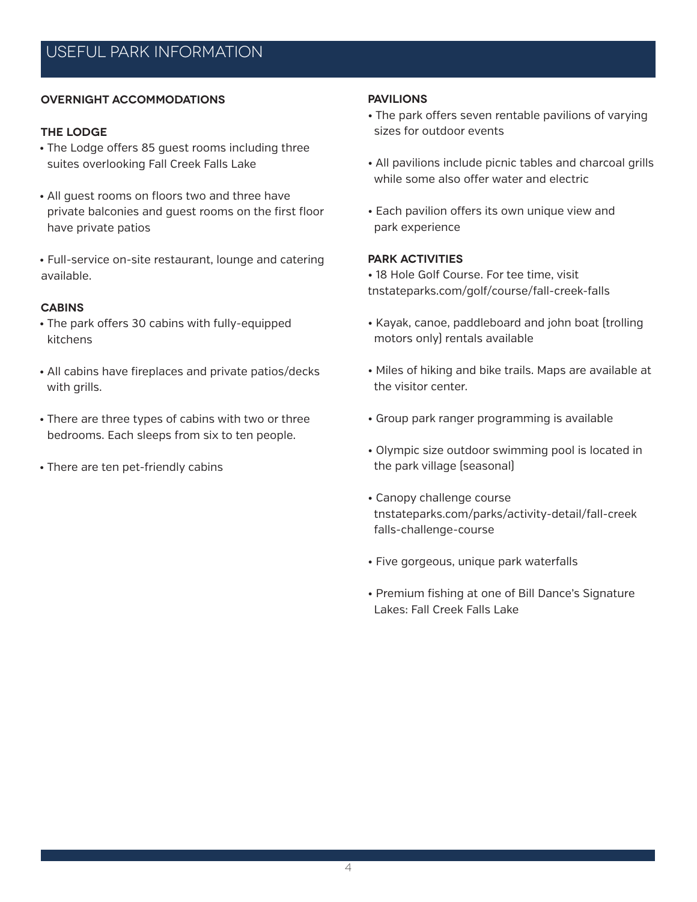#### **Overnight Accommodations**

#### **The Lodge**

- The Lodge offers 85 guest rooms including three suites overlooking Fall Creek Falls Lake
- All guest rooms on floors two and three have private balconies and guest rooms on the first floor have private patios
- Full-service on-site restaurant, lounge and catering available.

#### **Cabins**

- The park offers 30 cabins with fully-equipped kitchens
- All cabins have fireplaces and private patios/decks with grills.
- There are three types of cabins with two or three bedrooms. Each sleeps from six to ten people.
- There are ten pet-friendly cabins

#### **Pavilions**

- The park offers seven rentable pavilions of varying sizes for outdoor events
- All pavilions include picnic tables and charcoal grills while some also offer water and electric
- Each pavilion offers its own unique view and park experience

#### **Park Activities**

- 18 Hole Golf Course. For tee time, visit tnstateparks.com/golf/course/fall-creek-falls
- Kayak, canoe, paddleboard and john boat (trolling motors only) rentals available
- Miles of hiking and bike trails. Maps are available at the visitor center.
- Group park ranger programming is available
- Olympic size outdoor swimming pool is located in the park village (seasonal)
- Canopy challenge course tnstateparks.com/parks/activity-detail/fall-creek falls-challenge-course
- Five gorgeous, unique park waterfalls
- Premium fishing at one of Bill Dance's Signature Lakes: Fall Creek Falls Lake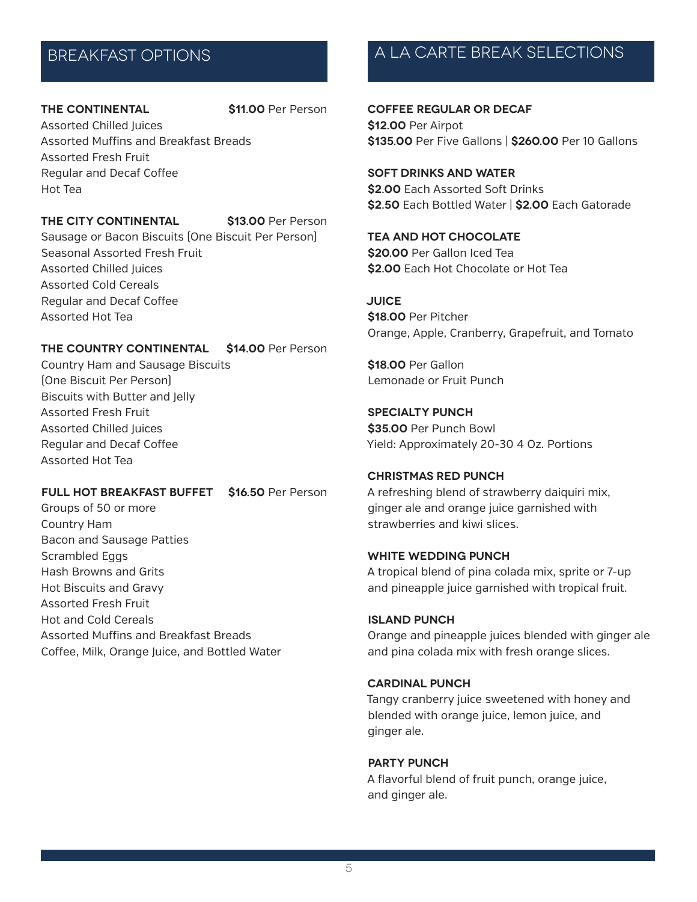#### **THE CONTINENTAL \$11.00** Per Person

Assorted Chilled Juices Assorted Muffins and Breakfast Breads Assorted Fresh Fruit Regular and Decaf Coffee Hot Tea

#### **THE CITY CONTINENTAL \$13.00** Per Person

Assorted Hot Tea

Sausage or Bacon Biscuits (One Biscuit Per Person) Seasonal Assorted Fresh Fruit Assorted Chilled Juices Assorted Cold Cereals Regular and Decaf Coffee

#### **THE COUNTRY CONTINENTAL \$14.00** Per Person

Country Ham and Sausage Biscuits (One Biscuit Per Person) Biscuits with Butter and Jelly Assorted Fresh Fruit Assorted Chilled Juices Regular and Decaf Coffee Assorted Hot Tea

### **FULL HOT BREAKFAST BUFFET \$16.50** Per Person

Groups of 50 or more Country Ham Bacon and Sausage Patties Scrambled Eggs Hash Browns and Grits Hot Biscuits and Gravy Assorted Fresh Fruit Hot and Cold Cereals Assorted Muffins and Breakfast Breads Coffee, Milk, Orange Juice, and Bottled Water

# BREAKFAST OPTIONS A LA CARTE BREAK SELECTIONS

### **COFFEE REGULAR OR DECAF \$12.00** Per Airpot

**\$135.00** Per Five Gallons | **\$260.00** Per 10 Gallons

### **SOFT DRINKS AND WATER**

**\$2.00** Each Assorted Soft Drinks **\$2.50** Each Bottled Water | **\$2.00** Each Gatorade

#### **TEA AND HOT CHOCOLATE**

**\$20.00** Per Gallon Iced Tea **\$2.00** Each Hot Chocolate or Hot Tea

#### **JUICE**

**\$18.00** Per Pitcher Orange, Apple, Cranberry, Grapefruit, and Tomato

**\$18.00** Per Gallon Lemonade or Fruit Punch

### **SPECIALTY PUNCH \$35.00** Per Punch Bowl Yield: Approximately 20-30 4 Oz. Portions

#### **CHRISTMAS RED PUNCH**

A refreshing blend of strawberry daiquiri mix, ginger ale and orange juice garnished with strawberries and kiwi slices.

#### **WHITE WEDDING PUNCH**

A tropical blend of pina colada mix, sprite or 7-up and pineapple juice garnished with tropical fruit.

#### **ISLAND PUNCH**

Orange and pineapple juices blended with ginger ale and pina colada mix with fresh orange slices.

#### **CARDINAL PUNCH**

Tangy cranberry juice sweetened with honey and blended with orange juice, lemon juice, and ginger ale.

#### **PARTY PUNCH**

A flavorful blend of fruit punch, orange juice, and ginger ale.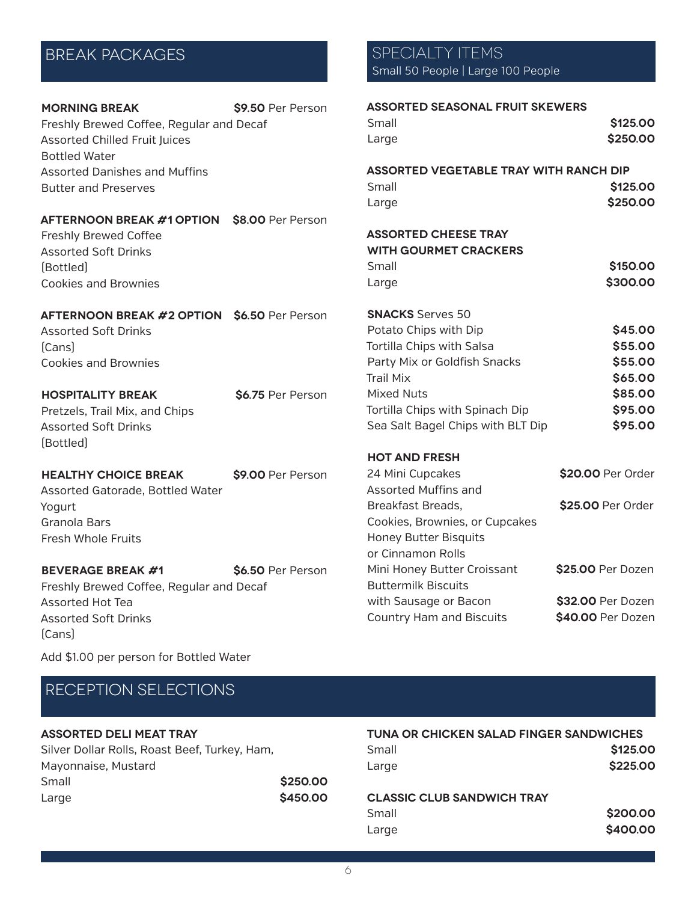| <b>MORNING BREAK</b>                     | \$9.50 Per Person |
|------------------------------------------|-------------------|
| Freshly Brewed Coffee, Regular and Decaf |                   |
| <b>Assorted Chilled Fruit Juices</b>     |                   |
| <b>Bottled Water</b>                     |                   |
| Assorted Danishes and Muffins            |                   |
| <b>Butter and Preserves</b>              |                   |

| <b>AFTERNOON BREAK #1 OPTION S8.00 Per Person</b> |  |
|---------------------------------------------------|--|
| <b>Freshly Brewed Coffee</b>                      |  |
| <b>Assorted Soft Drinks</b>                       |  |
| [Bottled]                                         |  |
| Cookies and Brownies                              |  |
|                                                   |  |

**AFTERNOON BREAK #2 OPTION \$6.50** Per Person Assorted Soft Drinks (Cans)

Cookies and Brownies

**HOSPITALITY BREAK \$6.75** Per Person Pretzels, Trail Mix, and Chips Assorted Soft Drinks (Bottled)

#### **HEALTHY CHOICE BREAK \$9.00 Per Person** Assorted Gatorade, Bottled Water Yogurt Granola Bars Fresh Whole Fruits

**BEVERAGE BREAK #1** \$6.50 Per Person Freshly Brewed Coffee, Regular and Decaf Assorted Hot Tea Assorted Soft Drinks (Cans)

### BREAK PACKAGES SPECIALTY ITEMS Small 50 People | Large 100 People

| <b>ASSORTED SEASONAL FRUIT SKEWERS</b>        |                   |
|-----------------------------------------------|-------------------|
| Small                                         | \$125.00          |
| Large                                         | \$250.00          |
| <b>ASSORTED VEGETABLE TRAY WITH RANCH DIP</b> |                   |
| Small                                         | \$125.00          |
| Large                                         | \$250.00          |
| <b>ASSORTED CHEESE TRAY</b>                   |                   |
| <b>WITH GOURMET CRACKERS</b>                  |                   |
| Small                                         | \$150.00          |
| Large                                         | \$300.00          |
| <b>SNACKS</b> Serves 50                       |                   |
| Potato Chips with Dip                         | \$45.00           |
| Tortilla Chips with Salsa                     | \$55.00           |
| Party Mix or Goldfish Snacks                  | \$55.00           |
| <b>Trail Mix</b>                              | \$65.00           |
| <b>Mixed Nuts</b>                             | \$85.00           |
| Tortilla Chips with Spinach Dip               | \$95.00           |
| Sea Salt Bagel Chips with BLT Dip             | \$95.00           |
| <b>HOT AND FRESH</b>                          |                   |
| 24 Mini Cupcakes                              | \$20.00 Per Order |
| <b>Assorted Muffins and</b>                   |                   |
| Breakfast Breads,                             | \$25.00 Per Order |
| Cookies, Brownies, or Cupcakes                |                   |
| <b>Honey Butter Bisquits</b>                  |                   |
| or Cinnamon Rolls                             |                   |
| Mini Honey Butter Croissant                   | \$25.00 Per Dozen |
| <b>Buttermilk Biscuits</b>                    |                   |
| with Sausage or Bacon                         | \$32.00 Per Dozen |
| <b>Country Ham and Biscuits</b>               | \$40.00 Per Dozen |

Add \$1.00 per person for Bottled Water

# RECEPTION SELECTIONS

### **ASSORTED DELI MEAT TRAY**

| \$250.00 |
|----------|
| \$450.00 |
|          |

| <b>TUNA OR CHICKEN SALAD FINGER SANDWICHES</b> |          |
|------------------------------------------------|----------|
| Small                                          | \$125,00 |
| Large                                          | \$225,00 |
| AI IAAIA AI IIR AI LIBU. IIAI I WA IV          |          |

#### **CLASSIC CLUB SANDWICH TRAY**

| Small | \$200.00 |
|-------|----------|
| Large | \$400.00 |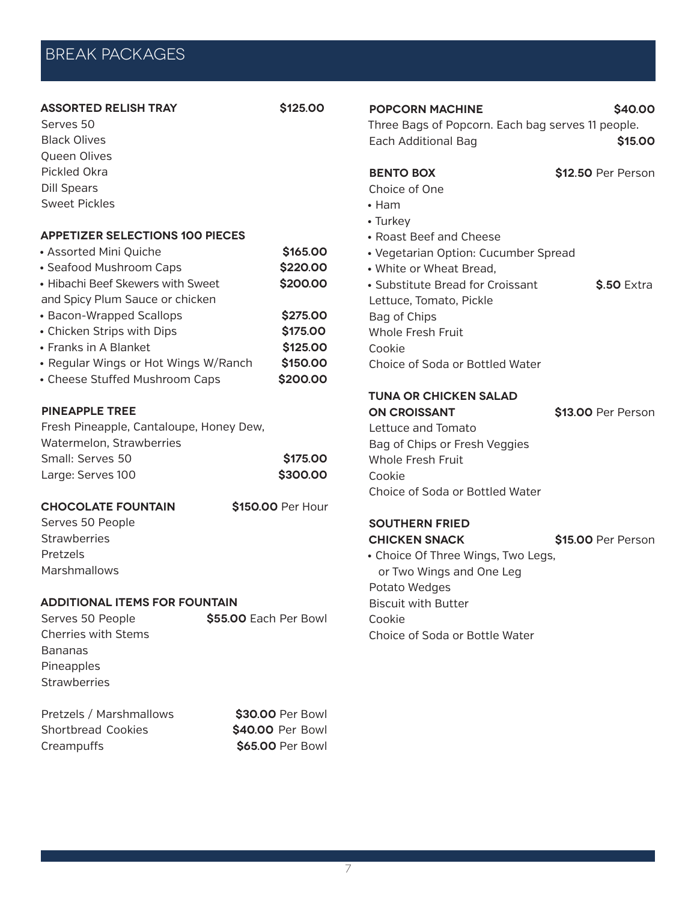# BREAK PACKAGES

#### **ASSORTED RELISH TRAY \$125.00**

Serves 50 Black Olives Queen Olives Pickled Okra Dill Spears Sweet Pickles

#### **APPETIZER SELECTIONS 100 Pieces**

| • Assorted Mini Quiche               | \$165.00 |
|--------------------------------------|----------|
| • Seafood Mushroom Caps              | \$220.00 |
| • Hibachi Beef Skewers with Sweet    | \$200.00 |
| and Spicy Plum Sauce or chicken      |          |
| • Bacon-Wrapped Scallops             | \$275.00 |
| • Chicken Strips with Dips           | \$175.00 |
| • Franks in A Blanket                | \$125.00 |
| • Regular Wings or Hot Wings W/Ranch | \$150.00 |
| • Cheese Stuffed Mushroom Caps       | \$200.00 |

#### **PINEAPPLE TREE**

| Fresh Pineapple, Cantaloupe, Honey Dew, |          |
|-----------------------------------------|----------|
| Watermelon, Strawberries                |          |
| Small: Serves 50                        | \$175,00 |
| Large: Serves 100                       | \$300.00 |

#### **CHOCOLATE FOUNTAIN \$150.00** Per Hour

Serves 50 People **Strawberries** Pretzels **Marshmallows** 

#### **ADDITIONAL ITEMS FOR FOUNTAIN**

| Serves 50 People           | \$55.00 Each Per Bowl |
|----------------------------|-----------------------|
| <b>Cherries with Stems</b> |                       |
| <b>Bananas</b>             |                       |
| Pineapples                 |                       |
| <b>Strawberries</b>        |                       |
|                            |                       |
| Dustacle / Mauslausellause | 600.00.D.J.J          |

| Pretzels / Marshmallows |
|-------------------------|
| Shortbread Cookies      |
| Creampuffs              |

\$30.00 Per Bowl \$40.00 Per Bowl **\$65.00 Per Bowl** 

### **POPCORN MACHINE** \$40.00

Three Bags of Popcorn. Each bag serves 11 people. Each Additional Bag **\$15.00** 

**BENTO BOX \$12.50** Per Person

Choice of One

- Ham
- Turkey
- Roast Beef and Cheese
- Vegetarian Option: Cucumber Spread
- White or Wheat Bread,
- Substitute Bread for Croissant **\$.50** Extra Lettuce, Tomato, Pickle Bag of Chips Whole Fresh Fruit Cookie Choice of Soda or Bottled Water

#### **TUNA OR CHICKEN SALAD ON CROISSANT** \$13.00 Per Person

Lettuce and Tomato Bag of Chips or Fresh Veggies Whole Fresh Fruit Cookie Choice of Soda or Bottled Water

# **SOUTHERN FRIED**

**CHICKEN SNACK \$15.00** Per Person

• Choice Of Three Wings, Two Legs, or Two Wings and One Leg Potato Wedges Biscuit with Butter Cookie

Choice of Soda or Bottle Water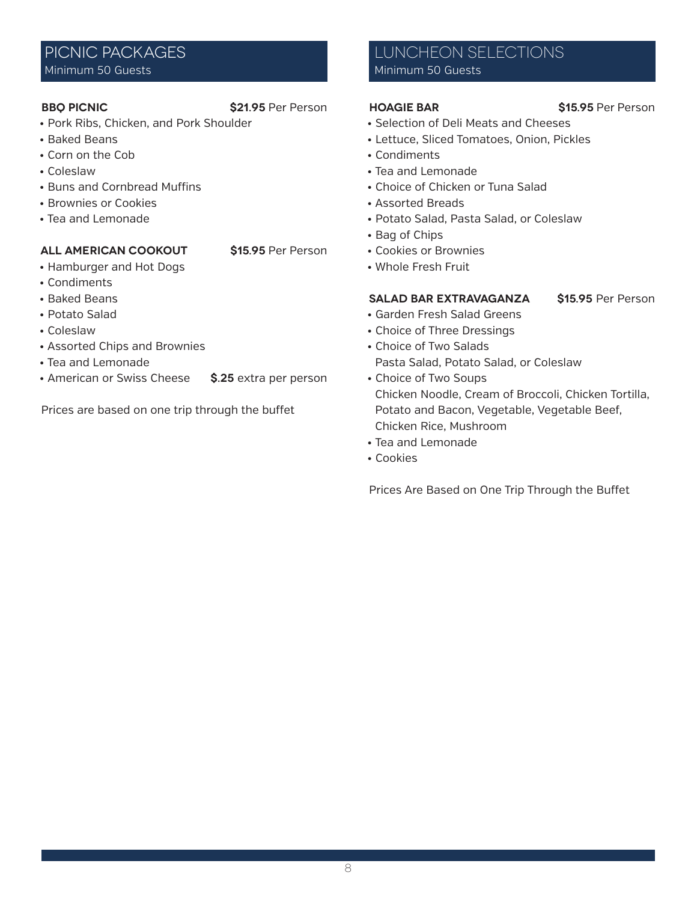### PICNIC PACKAGES Minimum 50 Guests

### **BBQ PICNIC** \$21.95 Per Person

- Pork Ribs, Chicken, and Pork Shoulder
- Baked Beans
- Corn on the Cob
- Coleslaw
- Buns and Cornbread Muffins
- Brownies or Cookies
- Tea and Lemonade

#### **ALL AMERICAN COOKOUT \$15.95** Per Person

- Hamburger and Hot Dogs
- Condiments
- Baked Beans
- Potato Salad
- Coleslaw
- Assorted Chips and Brownies
- Tea and Lemonade
- American or Swiss Cheese **\$.25** extra per person

Prices are based on one trip through the buffet

### LUNCHEON SELECTIONS Minimum 50 Guests

- Selection of Deli Meats and Cheeses
- Lettuce, Sliced Tomatoes, Onion, Pickles
- Condiments
- Tea and Lemonade
- Choice of Chicken or Tuna Salad
- Assorted Breads
- Potato Salad, Pasta Salad, or Coleslaw
- Bag of Chips
- Cookies or Brownies
- Whole Fresh Fruit

#### **SALAD BAR EXTRAVAGANZA \$15.95** Per Person

- Garden Fresh Salad Greens
- Choice of Three Dressings
- Choice of Two Salads Pasta Salad, Potato Salad, or Coleslaw
- Choice of Two Soups Chicken Noodle, Cream of Broccoli, Chicken Tortilla, Potato and Bacon, Vegetable, Vegetable Beef, Chicken Rice, Mushroom
- Tea and Lemonade
- Cookies

Prices Are Based on One Trip Through the Buffet

**Hoagie BAR \$15.95** Per Person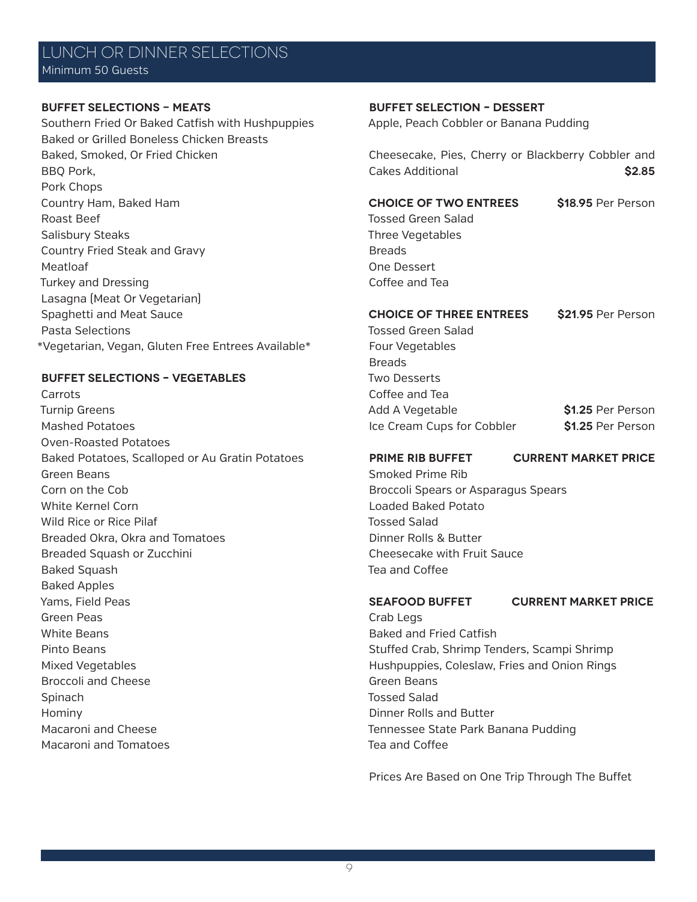## LUNCH OR DINNER SELECTIONS Minimum 50 Guests

#### **BUFFET SELECTIONS - MEATS**

Southern Fried Or Baked Catfish with Hushpuppies Baked or Grilled Boneless Chicken Breasts Baked, Smoked, Or Fried Chicken BBQ Pork, Pork Chops Country Ham, Baked Ham Roast Beef Salisbury Steaks Country Fried Steak and Gravy Meatloaf Turkey and Dressing Lasagna (Meat Or Vegetarian) Spaghetti and Meat Sauce Pasta Selections \*Vegetarian, Vegan, Gluten Free Entrees Available\*

#### **BUFFET SELECTIONS – VEGETABLES**

Carrots Turnip Greens Mashed Potatoes Oven-Roasted Potatoes Baked Potatoes, Scalloped or Au Gratin Potatoes Green Beans Corn on the Cob White Kernel Corn Wild Rice or Rice Pilaf Breaded Okra, Okra and Tomatoes Breaded Squash or Zucchini Baked Squash Baked Apples Yams, Field Peas Green Peas White Beans Pinto Beans Mixed Vegetables Broccoli and Cheese Spinach Hominy Macaroni and Cheese Macaroni and Tomatoes

#### **BUFFET SELECTION – DESSERT**

Apple, Peach Cobbler or Banana Pudding

Cheesecake, Pies, Cherry or Blackberry Cobbler and Cakes Additional **\$2.85**

### **CHOICE OF TWO ENTREES \$18.95** Per Person

Tossed Green Salad Three Vegetables **Breads** One Dessert Coffee and Tea

# **CHOICE OF THREE ENTREES \$21.95** Per Person

Tossed Green Salad Four Vegetables **Breads** Two Desserts Coffee and Tea Add A Vegetable **\$1.25** Per Person Ice Cream Cups for Cobbler **\$1.25** Per Person

**PRIME RIB BUFFET Current Market Price**

Smoked Prime Rib Broccoli Spears or Asparagus Spears Loaded Baked Potato Tossed Salad Dinner Rolls & Butter Cheesecake with Fruit Sauce Tea and Coffee

**SEAFOOD BUFFET Current Market Price**

Crab Legs Baked and Fried Catfish Stuffed Crab, Shrimp Tenders, Scampi Shrimp Hushpuppies, Coleslaw, Fries and Onion Rings Green Beans Tossed Salad Dinner Rolls and Butter Tennessee State Park Banana Pudding Tea and Coffee

Prices Are Based on One Trip Through The Buffet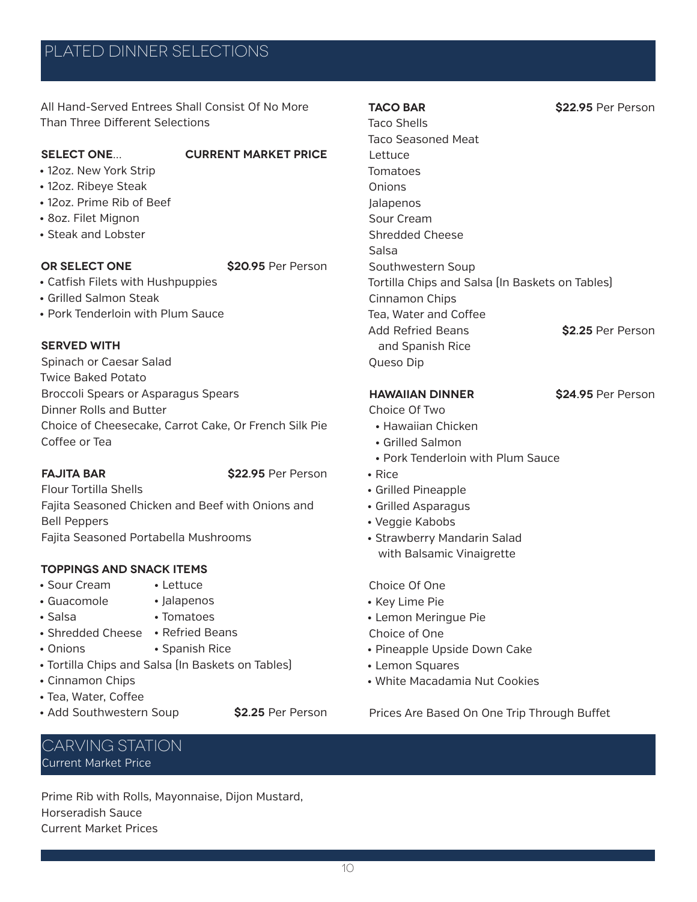# PLATED DINNER SELECTIONS

All Hand-Served Entrees Shall Consist Of No More Than Three Different Selections

#### **SELECT ONE… CURRENT MARKET PRICE**

- 12oz. New York Strip
- 12oz. Ribeye Steak
- 12oz. Prime Rib of Beef
- 8oz. Filet Mignon
- Steak and Lobster

**Or Select One \$20.95** Per Person

- Catfish Filets with Hushpuppies
- Grilled Salmon Steak
- Pork Tenderloin with Plum Sauce

#### **Served With**

Spinach or Caesar Salad Twice Baked Potato Broccoli Spears or Asparagus Spears Dinner Rolls and Butter Choice of Cheesecake, Carrot Cake, Or French Silk Pie Coffee or Tea

**FAJITA BAR \$22.95** Per Person

Flour Tortilla Shells Fajita Seasoned Chicken and Beef with Onions and Bell Peppers Fajita Seasoned Portabella Mushrooms

• Lettuce

• Tomatoes

• Spanish Rice

#### **Toppings and snack Items**

- Sour Cream • Guacomole
- Jalapenos
- Salsa
- Shredded Cheese Refried Beans
- Onions
- Tortilla Chips and Salsa (In Baskets on Tables)
- Cinnamon Chips
- Tea, Water, Coffee
- Add Southwestern Soup **\$2.25** Per Person

# Carving Station Current Market Price

Prime Rib with Rolls, Mayonnaise, Dijon Mustard, Horseradish Sauce Current Market Prices

Taco Shells Taco Seasoned Meat Lettuce Tomatoes **Onions** Jalapenos Sour Cream Shredded Cheese Salsa Southwestern Soup Tortilla Chips and Salsa (In Baskets on Tables) Cinnamon Chips Tea, Water and Coffee Add Refried Beans **\$2.25** Per Person and Spanish Rice Queso Dip

### **HAWAIIAN DINNER \$24.95** Per Person

Choice Of Two

- Hawaiian Chicken
- Grilled Salmon
- Pork Tenderloin with Plum Sauce
- Rice
- Grilled Pineapple
- Grilled Asparagus
- Veggie Kabobs
- Strawberry Mandarin Salad with Balsamic Vinaigrette

Choice Of One

- Key Lime Pie
- Lemon Meringue Pie
- Choice of One
- Pineapple Upside Down Cake
- Lemon Squares
- White Macadamia Nut Cookies

Prices Are Based On One Trip Through Buffet

**TACO BAR \$22.95** Per Person